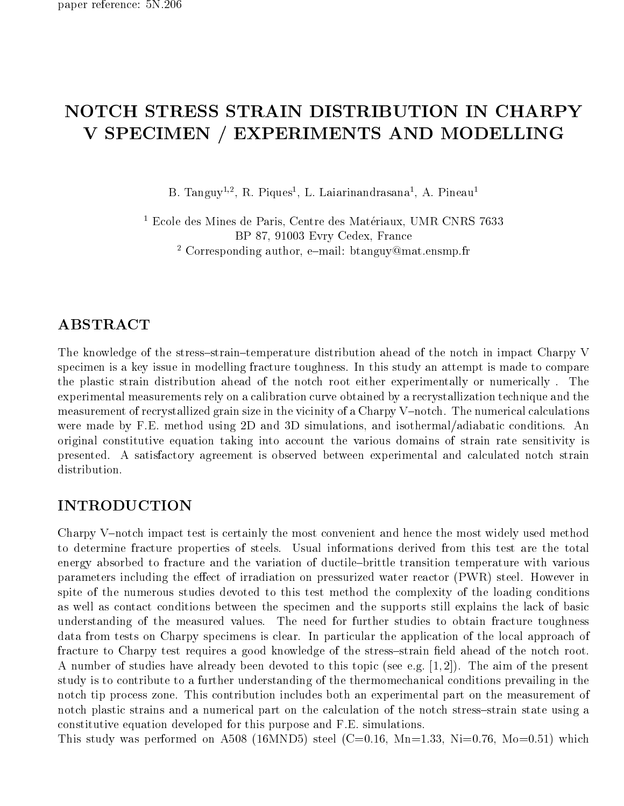# NOTCH STRESS STRAIN DISTRIBUTION IN CHARPY V SPECIMEN / EXPERIMENTS AND MODELLING

D. Tanguy<sup>-,</sup> , K. Piques<sup>-</sup>, L. Laiarinandrasana<sup>-</sup>, A. Pineau<sup>-</sup>

<sup>1</sup> Ecole des Mines de Paris, Centre des Materiaux, UMR CNRS 7633 BP 87, 91003 Evry Cedex, France <sup>-</sup> Corresponding author, e−mail: btanguy@mat.ensmp.fr

The knowledge of the stress-strain-temperature distribution ahead of the notch in impact Charpy V specimen is a key issue in modelling fracture toughness. In this study an attempt is made to compare the plastic strain distribution ahead of the notch root either experimentally or numerically . The experimental measurements rely on a calibration curve obtained by a recrystallization technique and the measurement of recrystallized grain size in the vicinity of a Charpy V-notch. The numerical calculations were made by F.E. method using 2D and 3D simulations, and isothermal/adiabatic conditions. An original constitutive equation taking into account the various domains of strain rate sensitivity is presented. A satisfactory agreement is observed between experimental and calculated notch strain distribution.

# INTRODUCTION

Charpy V-notch impact test is certainly the most convenient and hence the most widely used method to determine fracture properties of steels. Usual informations derived from this test are the total energy absorbed to fracture and the variation of ductile-brittle transition temperature with various parameters including the effect of irradiation on pressurized water reactor (PWR) steel. However in spite of the numerous studies devoted to this test method the complexity of the loading conditions as well as contact conditions between the specimen and the supports still explains the lack of basic understanding of the measured values. The need for further studies to obtain fracture toughness data from tests on Charpy specimens is clear. In particular the application of the local approach of fracture to Charpy test requires a good knowledge of the stress-strain field ahead of the notch root. A number of studies have already been devoted to this topic (see e.g. [1, 2]). The aim of the present study is to contribute to a further understanding of the thermomechanical conditions prevailing in the notch tip process zone. This contribution includes both an experimental part on the measurement of notch plastic strains and a numerical part on the calculation of the notch stress-strain state using a constitutive equation developed for this purpose and F.E. simulations.

This study was performed on A508 (16MND5) steel (C=0.16, Mn=1.33, Ni=0.76, Mo=0.51) which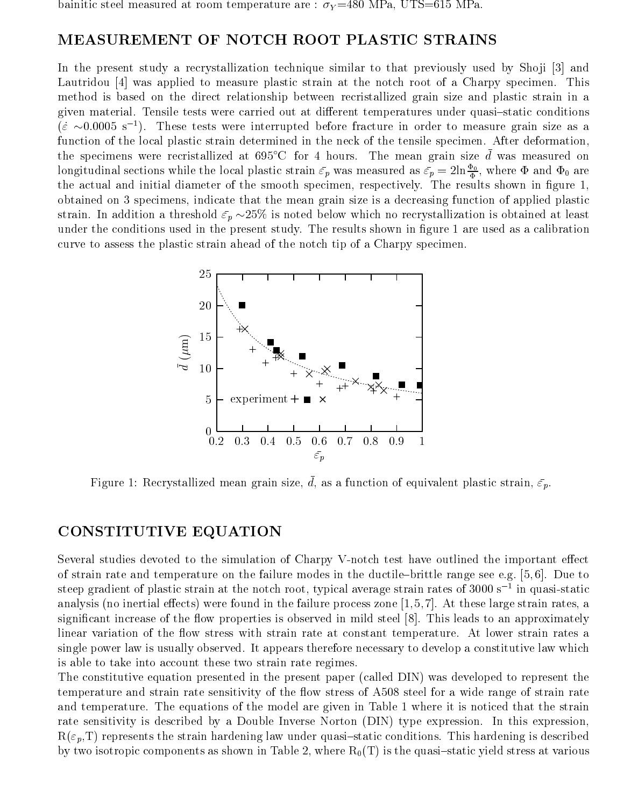bainitic steel measured at room temperature are :  $\sigma_Y = 480$  MPa, UTS=615 MPa.

### MEASUREMENT OF NOTCH ROOT PLASTIC STRAINS

In the present study a recrystallization technique similar to that previously used by Shoji [3] and Lautridou [4] was applied to measure plastic strain at the notch root of a Charpy specimen. This method is based on the direct relationship between recristallized grain size and plastic strain in a given material. Tensile tests were carried out at different temperatures under quasi-static conditions  $(\dot{\varepsilon} \sim 0.0005 \text{ s}^{-1})$ . These tests were interrupted before fracture in order to measure grain size as a function of the local plastic strain determined in the neck of the tensile specimen. After deformation, the specimens were recristallized at  $695^{\circ}$ C for 4 hours. The mean grain size d was measured on longitudinal sections while the local plastic strain  $\bar{\varepsilon}_p$  was measured as  $\bar{\varepsilon}_p = 2\ln\frac{\Phi_0}{\Phi}$ , where  $\Phi$  and  $\Phi_0$  are the actual and initial diameter of the smooth specimen, respectively. The results shown in figure 1, obtained on 3 specimens, indicate that the mean grain size is a decreasing function of applied plastic strain. In addition a threshold  $\bar{\varepsilon}_p \sim 25\%$  is noted below which no recrystallization is obtained at least under the conditions used in the present study. The results shown in figure 1 are used as a calibration curve to assess the plastic strain ahead of the notch tip of a Charpy specimen.



Figure 1: Recrystallized mean grain size,  $\bar{d}$ , as a function of equivalent plastic strain,  $\bar{\varepsilon}_p$ .

## CONSTITUTIVE EQUATION

Several studies devoted to the simulation of Charpy V-notch test have outlined the important effect of strain rate and temperature on the failure modes in the ductile-brittle range see e.g.  $[5, 6]$ . Due to steep gradient of plastic strain at the notch root, typical average strain rates of 3000 s  $\,$  1n quasi-static  $\,$ analysis (no inertial effects) were found in the failure process zone  $[1,5,7]$ . At these large strain rates, a significant increase of the flow properties is observed in mild steel [8]. This leads to an approximately linear variation of the flow stress with strain rate at constant temperature. At lower strain rates a single power law is usually observed. It appears therefore necessary to develop a constitutive law which is able to take into account these two strain rate regimes.

The constitutive equation presented in the present paper (called DIN) was developed to represent the temperature and strain rate sensitivity of the flow stress of  $A508$  steel for a wide range of strain rate and temperature. The equations of the model are given in Table 1 where it is noticed that the strain rate sensitivity is described by a Double Inverse Norton (DIN) type expression. In this expression,  $R(\varepsilon_p,T)$  represents the strain hardening law under quasi-static conditions. This hardening is described by two isotropic components as shown in Table 2, where  $R_0(T)$  is the quasi-static yield stress at various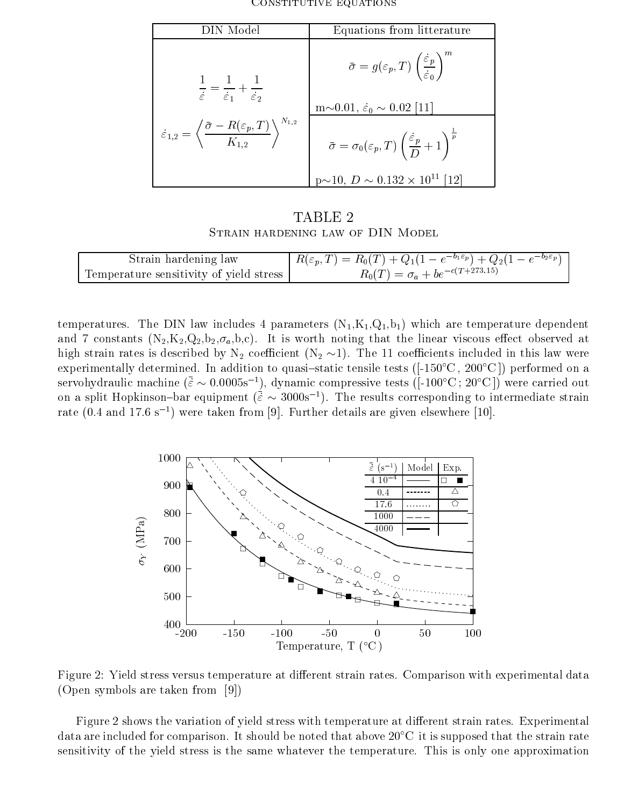| N Model                                                                                                            | Equations from litterature                                                                                 |
|--------------------------------------------------------------------------------------------------------------------|------------------------------------------------------------------------------------------------------------|
| $\frac{1}{\dot{\varepsilon}} = \frac{1}{\dot{\varepsilon}_1} + \frac{1}{\dot{\varepsilon}_2}$                      | $\bar{\sigma} = g(\varepsilon_p,T) \left(\frac{\dot{\varepsilon}_p}{\dot{\varepsilon}_0}\right)^{\prime}$  |
| $N_{1,2}$                                                                                                          | $m\sim 0.01, \dot{\varepsilon}_0 \sim 0.02$ [11]                                                           |
| $\dot{\varepsilon}_{1,2} = \left\langle \frac{\bar{\sigma} - R(\varepsilon_p,T)}{K_{1,2}} \right\rangle^{N_{1,2}}$ | $\bar{\sigma} = \sigma_0(\varepsilon_p, T) \left( \frac{\dot{\varepsilon}_p}{D} + 1 \right)^{\frac{1}{p}}$ |
|                                                                                                                    | $p\sim 10$ , $D \sim 0.132 \times 10^{11}$ [12]                                                            |

Constitutive equations

TABLE 2

| Strain hardening law                    | $R(\varepsilon_p, T) = R_0(T) + Q_1(1 - e^{-b_1 \varepsilon_p}) + Q_2(1 - e^{-b_2 \varepsilon_p})$ |
|-----------------------------------------|----------------------------------------------------------------------------------------------------|
| Temperature sensitivity of yield stress | $R_0(T) = \sigma_a + be^{-c(T+273.15)}$                                                            |

temperatures. The DIN law includes 4 parameters  $(N_1,K_1,Q_1,b_1)$  which are temperature dependent and 7 constants  $(N_2,K_2,Q_2,b_2,\sigma_a,b,c)$ . It is worth noting that the linear viscous effect observed at high strain rates is described by  $N_2$  coefficient  $(N_2 \sim 1)$ . The 11 coefficients included in this law were experimentally determined. In addition to quasi-static tensile tests ( $[-150^{\circ}\text{C}, 200^{\circ}\text{C}]$ ) performed on a servohydraulic machine  $(\bar{\varepsilon} \sim 0.0005s^{-1})$ , dynamic compressive tests ([-100°C; 20°C]) were carried out on a split Hopkinson-bar equipment  $({\bar \varepsilon} \sim 3000s^{-1})$ . The results corresponding to intermediate strain rate  $(0.4$  and  $17.6 \text{ s}^{-1})$  were taken from [9]. Further details are given elsewhere [10].



Figure 2: Yield stress versus temperature at different strain rates. Comparison with experimental data (Open symbols are taken from [9])

Figure 2 shows the variation of yield stress with temperature at different strain rates. Experimental data are included for comparison. It should be noted that above  $20^{\circ}$ C it is supposed that the strain rate sensitivity of the yield stress is the same whatever the temperature. This is only one approximation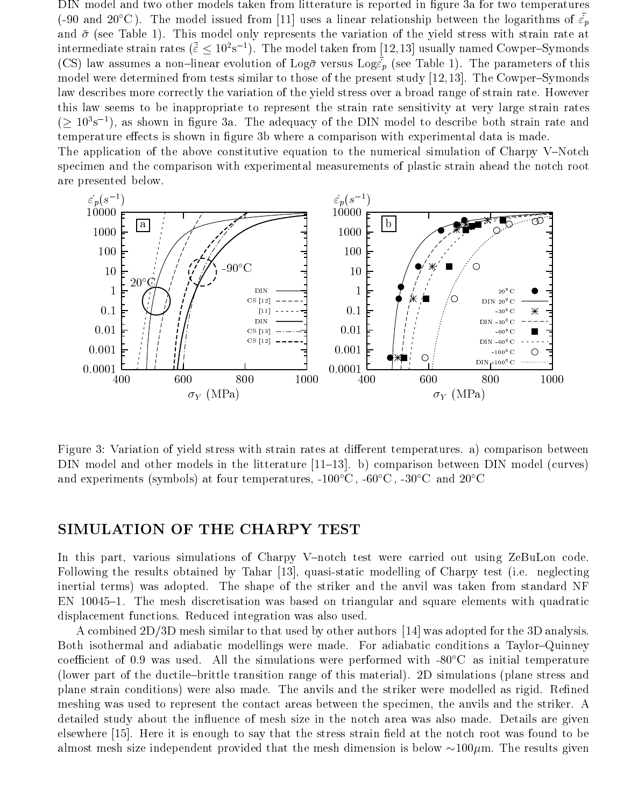DIN model and two other models taken from litterature is reported in figure 3a for two temperatures (-90 and 20<sup>o</sup>C). The model issued from [11] uses a linear relationship between the logarithms of  $\epsilon_p$ and  $\bar{\sigma}$  (see Table 1). This model only represents the variation of the yield stress with strain rate at intermediate strain rates  $(\bar{\varepsilon} \leq 10^2 \text{s}^{-1})$ . The model taken from [12,13] usually named Cowper-Symonds (CS) law assumes a non-linear evolution of Log  $\bar{\sigma}$  versus Log  $\bar{\epsilon}_p$  (see Table 1). The parameters of this model were determined from tests similar to those of the present study  $[12, 13]$ . The Cowper-Symonds law describes more correctly the variation of the yield stress over a broad range of strain rate. However this law seems to be inappropriate to represent the strain rate sensitivity at very large strain rates  $( \geq 10^{3} s^{-1})$ , as shown in figure 3a. The adequacy of the DIN model to describe both strain rate and temperature effects is shown in figure 3b where a comparison with experimental data is made. The application of the above constitutive equation to the numerical simulation of Charpy V-Notch

specimen and the comparison with experimental measurements of plastic strain ahead the notch root are presented below.



Figure 3: Variation of yield stress with strain rates at different temperatures. a) comparison between DIN model and other models in the litterature  $[11–13]$ . b) comparison between DIN model (curves) and experiments (symbols) at four temperatures,  $-100\degree\text{C}$ ,  $-60\degree\text{C}$ ,  $-30\degree\text{C}$  and  $20\degree\text{C}$ 

#### SIMULATION OF THE CHARPY TEST

In this part, various simulations of Charpy V-notch test were carried out using ZeBuLon code. Following the results obtained by Tahar [13], quasi-static modelling of Charpy test (i.e. neglecting inertial terms) was adopted. The shape of the striker and the anvil was taken from standard NF EN 10045-1. The mesh discretisation was based on triangular and square elements with quadratic displacement functions. Reduced integration was also used.

A combined 2D/3D mesh similar to that used by other authors [14] was adopted for the 3D analysis. Both isothermal and adiabatic modellings were made. For adiabatic conditions a Taylor-Quinney coefficient of 0.9 was used. All the simulations were performed with  $-80^{\circ}$ C as initial temperature (lower part of the ductile-brittle transition range of this material). 2D simulations (plane stress and plane strain conditions) were also made. The anvils and the striker were modelled as rigid. Refined meshing was used to represent the contact areas between the specimen, the anvils and the striker. A detailed study about the influence of mesh size in the notch area was also made. Details are given elsewhere [15]. Here it is enough to say that the stress strain field at the notch root was found to be almost mesh size independent provided that the mesh dimension is below  $\sim 100 \mu$ m. The results given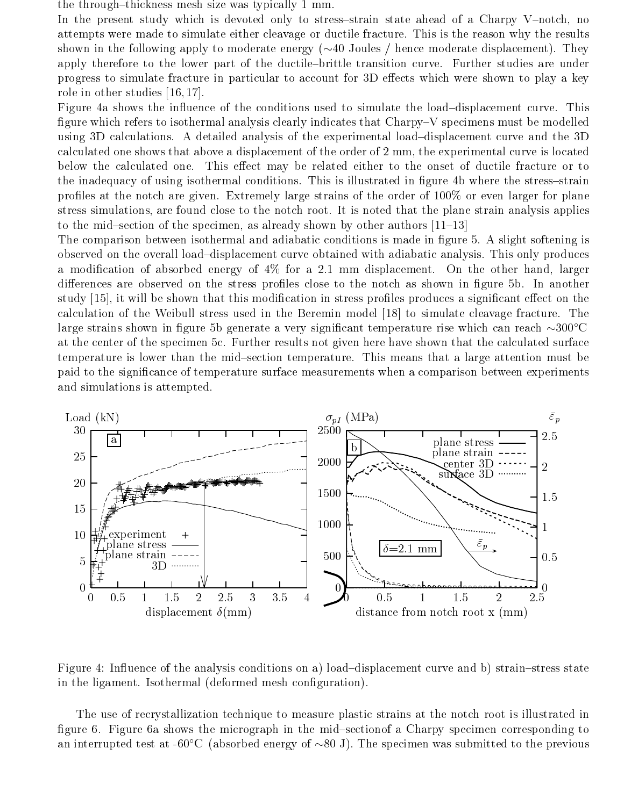the through-thickness mesh size was typically 1 mm.

In the present study which is devoted only to stress-strain state ahead of a Charpy V-notch, no attempts were made to simulate either cleavage or ductile fracture. This is the reason why the results shown in the following apply to moderate energy  $(\sim 40 \text{ Joules } / \text{ hence moderate displacement})$ . They apply therefore to the lower part of the ductile-brittle transition curve. Further studies are under progress to simulate fracture in particular to account for 3D effects which were shown to play a key role in other studies [16, 17].

Figure 4a shows the influence of the conditions used to simulate the load-displacement curve. This figure which refers to isothermal analysis clearly indicates that  $Chary-V$  specimens must be modelled using 3D calculations. A detailed analysis of the experimental load-displacement curve and the 3D calculated one shows that above a displacement of the order of 2 mm, the experimental curve is located below the calculated one. This effect may be related either to the onset of ductile fracture or to the inadequacy of using isothermal conditions. This is illustrated in figure 4b where the stress-strain profiles at the notch are given. Extremely large strains of the order of 100% or even larger for plane stress simulations, are found close to the notch root. It is noted that the plane strain analysis applies to the mid-section of the specimen, as already shown by other authors  $[11–13]$ 

The comparison between isothermal and adiabatic conditions is made in figure 5. A slight softening is observed on the overall load{displacement curve obtained with adiabatic analysis. This only produces a modification of absorbed energy of 4% for a 2.1 mm displacement. On the other hand, larger differences are observed on the stress profiles close to the notch as shown in figure 5b. In another study [15], it will be shown that this modification in stress profiles produces a significant effect on the calculation of the Weibull stress used in the Beremin model [18] to simulate cleavage fracture. The large strains shown in figure 5b generate a very significant temperature rise which can reach  $\sim 300^{\circ}$ C at the center of the specimen 5c. Further results not given here have shown that the calculated surface temperature is lower than the mid-section temperature. This means that a large attention must be paid to the signicance of temperature surface measurements when a comparison between experiments and simulations is attempted.



Figure 4: Influence of the analysis conditions on a) load-displacement curve and b) strain-stress state in the ligament. Isothermal (deformed mesh configuration).

The use of recrystallization technique to measure plastic strains at the notch root is illustrated in figure 6. Figure 6a shows the micrograph in the mid-sectionof a Charpy specimen corresponding to an interrupted test at -60°C (absorbed energy of  $\sim 80$  J). The specimen was submitted to the previous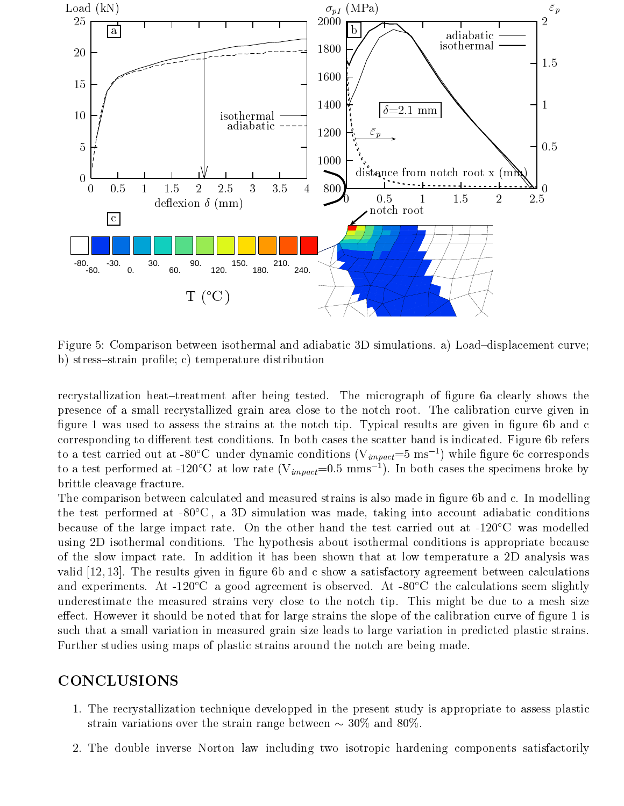

Figure 5: Comparison between isothermal and adiabatic 3D simulations. a) Load-displacement curve; b) stress-strain profile; c) temperature distribution

recrystallization heat-treatment after being tested. The micrograph of figure 6a clearly shows the presence of a small recrystallized grain area close to the notch root. The calibration curve given in figure 1 was used to assess the strains at the notch tip. Typical results are given in figure 6b and c corresponding to different test conditions. In both cases the scatter band is indicated. Figure 6b refers to a test carried out at -80°C under dynamic conditions ( $V_{impact} = 5 \text{ ms}^{-1}$ ) while figure 6c corresponds to a test performed at -120°C at low rate  $(V_{impact}=0.5 \text{ mm s}^{-1})$ . In both cases the specimens broke by brittle cleavage fracture.

The comparison between calculated and measured strains is also made in figure 6b and c. In modelling the test performed at  $-80^{\circ}\text{C}$ , a 3D simulation was made, taking into account adiabatic conditions because of the large impact rate. On the other hand the test carried out at  $-120^{\circ}$ C was modelled using 2D isothermal conditions. The hypothesis about isothermal conditions is appropriate because of the slow impact rate. In addition it has been shown that at low temperature a 2D analysis was valid  $[12, 13]$ . The results given in figure 6b and c show a satisfactory agreement between calculations and experiments. At -120 $\degree$ C a good agreement is observed. At -80 $\degree$ C the calculations seem slightly underestimate the measured strains very close to the notch tip. This might be due to a mesh size effect. However it should be noted that for large strains the slope of the calibration curve of figure 1 is such that a small variation in measured grain size leads to large variation in predicted plastic strains. Further studies using maps of plastic strains around the notch are being made.

### CONCLUSIONS

- 1. The recrystallization technique developped in the present study is appropriate to assess plastic strain variations over the strain range between  $\sim 30\%$  and 80%.
- 2. The double inverse Norton law including two isotropic hardening components satisfactorily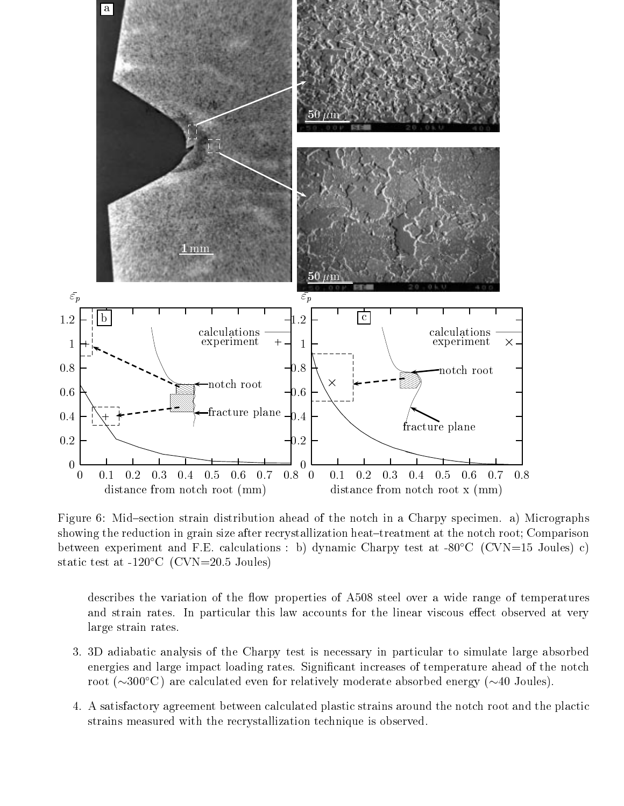

Figure 6: Mid-section strain distribution ahead of the notch in a Charpy specimen. a) Micrographs showing the reduction in grain size after recrystallization heat-treatment at the notch root; Comparison between experiment and F.E. calculations : b) dynamic Charpy test at -80 $\degree$ C (CVN=15 Joules) c) static test at  $-120^{\circ}$ C (CVN=20.5 Joules)

describes the variation of the flow properties of A508 steel over a wide range of temperatures and strain rates. In particular this law accounts for the linear viscous effect observed at very large strain rates.

- 3. 3D adiabatic analysis of the Charpy test is necessary in particular to simulate large absorbed energies and large impact loading rates. Signicant increases of temperature ahead of the notch root ( $\sim 300^{\circ}$ C) are calculated even for relatively moderate absorbed energy ( $\sim 40$  Joules).
- 4. A satisfactory agreement between calculated plastic strains around the notch root and the plactic strains measured with the recrystallization technique is observed.